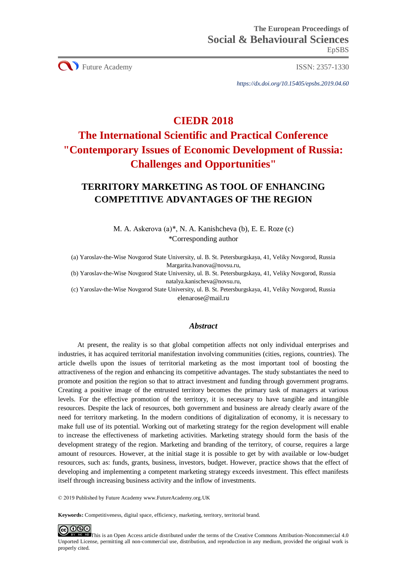**CO** Future Academy ISSN: 2357-1330

*https://dx.doi.org/10.15405/epsbs.2019.04.60*

# **CIEDR 2018**

# **The International Scientific and Practical Conference "Contemporary Issues of Economic Development of Russia: Challenges and Opportunities"**

# **TERRITORY MARKETING AS TOOL OF ENHANCING COMPETITIVE ADVANTAGES OF THE REGION**

M. A. Askerova (a)\*, N. A. Kanishcheva (b), E. E. Roze (c) \*Corresponding author

(a) Yaroslav-the-Wise Novgorod State University, ul. B. St. Petersburgskaya, 41, Veliky Novgorod, Russia Margarita.Ivanova@novsu.ru,

(b) Yaroslav-the-Wise Novgorod State University, ul. B. St. Petersburgskaya, 41, Veliky Novgorod, Russia natalya.kanischeva@novsu.ru,

(c) Yaroslav-the-Wise Novgorod State University, ul. B. St. Petersburgskaya, 41, Veliky Novgorod, Russia [elenarose@mail.ru](mailto:elenarose@mail.ru)

# *Abstract*

At present, the reality is so that global competition affects not only individual enterprises and industries, it has acquired territorial manifestation involving communities (cities, regions, countries). The article dwells upon the issues of territorial marketing as the most important tool of boosting the attractiveness of the region and enhancing its competitive advantages. The study substantiates the need to promote and position the region so that to attract investment and funding through government programs. Creating a positive image of the entrusted territory becomes the primary task of managers at various levels. For the effective promotion of the territory, it is necessary to have tangible and intangible resources. Despite the lack of resources, both government and business are already clearly aware of the need for territory marketing. In the modern conditions of digitalization of economy, it is necessary to make full use of its potential. Working out of marketing strategy for the region development will enable to increase the effectiveness of marketing activities. Marketing strategy should form the basis of the development strategy of the region. Marketing and branding of the territory, of course, requires a large amount of resources. However, at the initial stage it is possible to get by with available or low-budget resources, such as: funds, grants, business, investors, budget. However, practice shows that the effect of developing and implementing a competent marketing strategy exceeds investment. This effect manifests itself through increasing business activity and the inflow of investments.

© 2019 Published by Future Academy www.FutureAcademy.org.UK

**Keywords:** Competitiveness, digital space, efficiency, marketing, territory, territorial brand.

**ED** This is an Open Access article distributed under the terms of the Creative Commons Attribution-Noncommercial 4.0 Unported License, permitting all non-commercial use, distribution, and reproduction in any medium, provided the original work is properly cited.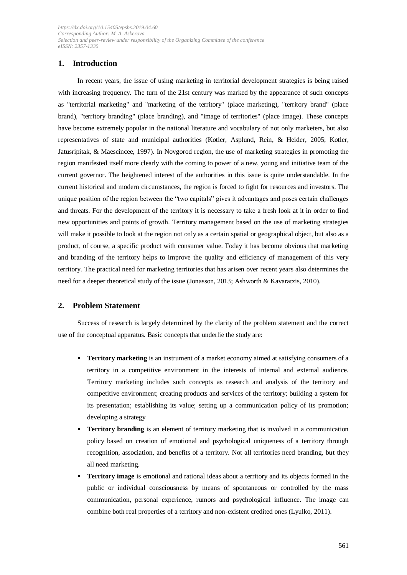# **1. Introduction**

In recent years, the issue of using marketing in territorial development strategies is being raised with increasing frequency. The turn of the 21st century was marked by the appearance of such concepts as "territorial marketing" and "marketing of the territory" (place marketing), "territory brand" (place brand), "territory branding" (place branding), and "image of territories" (place image). These concepts have become extremely popular in the national literature and vocabulary of not only marketers, but also representatives of state and municipal authorities (Kotler, Asplund, Rein, & Heider, 2005; Kotler, Jatusripitak, & Maescincee, 1997). In Novgorod region, the use of marketing strategies in promoting the region manifested itself more clearly with the coming to power of a new, young and initiative team of the current governor. The heightened interest of the authorities in this issue is quite understandable. In the current historical and modern circumstances, the region is forced to fight for resources and investors. The unique position of the region between the "two capitals" gives it advantages and poses certain challenges and threats. For the development of the territory it is necessary to take a fresh look at it in order to find new opportunities and points of growth. Territory management based on the use of marketing strategies will make it possible to look at the region not only as a certain spatial or geographical object, but also as a product, of course, a specific product with consumer value. Today it has become obvious that marketing and branding of the territory helps to improve the quality and efficiency of management of this very territory. The practical need for marketing territories that has arisen over recent years also determines the need for a deeper theoretical study of the issue (Jonasson, 2013; Ashworth & Kavaratzis, 2010).

# **2. Problem Statement**

Success of research is largely determined by the clarity of the problem statement and the correct use of the conceptual apparatus. Basic concepts that underlie the study are:

- **Territory marketing** is an instrument of a market economy aimed at satisfying consumers of a territory in a competitive environment in the interests of internal and external audience. Territory marketing includes such concepts as research and analysis of the territory and competitive environment; creating products and services of the territory; building a system for its presentation; establishing its value; setting up a communication policy of its promotion; developing a strategy
- **Territory branding** is an element of territory marketing that is involved in a communication policy based on creation of emotional and psychological uniqueness of a territory through recognition, association, and benefits of a territory. Not all territories need branding, but they all need marketing.
- **Territory image** is emotional and rational ideas about a territory and its objects formed in the public or individual consciousness by means of spontaneous or controlled by the mass communication, personal experience, rumors and psychological influence. The image can combine both real properties of a territory and non-existent credited ones (Lyulko, 2011).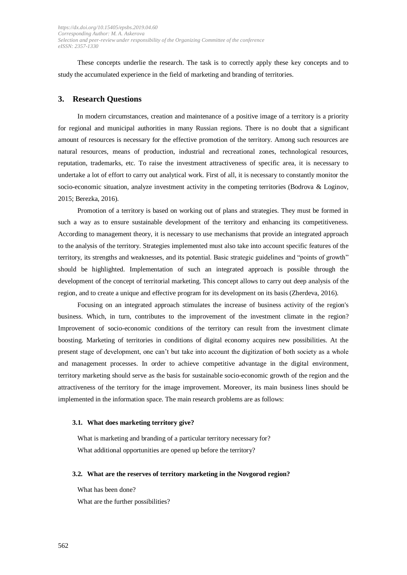These concepts underlie the research. The task is to correctly apply these key concepts and to study the accumulated experience in the field of marketing and branding of territories.

#### **3. Research Questions**

In modern circumstances, creation and maintenance of a positive image of a territory is a priority for regional and municipal authorities in many Russian regions. There is no doubt that a significant amount of resources is necessary for the effective promotion of the territory. Among such resources are natural resources, means of production, industrial and recreational zones, technological resources, reputation, trademarks, etc. To raise the investment attractiveness of specific area, it is necessary to undertake a lot of effort to carry out analytical work. First of all, it is necessary to constantly monitor the socio-economic situation, analyze investment activity in the competing territories (Bodrova & Loginov, 2015; Berezka, 2016).

Promotion of a territory is based on working out of plans and strategies. They must be formed in such a way as to ensure sustainable development of the territory and enhancing its competitiveness. According to management theory, it is necessary to use mechanisms that provide an integrated approach to the analysis of the territory. Strategies implemented must also take into account specific features of the territory, its strengths and weaknesses, and its potential. Basic strategic guidelines and "points of growth" should be highlighted. Implementation of such an integrated approach is possible through the development of the concept of territorial marketing. This concept allows to carry out deep analysis of the region, and to create a unique and effective program for its development on its basis (Zherdeva, 2016).

Focusing on an integrated approach stimulates the increase of business activity of the region's business. Which, in turn, contributes to the improvement of the investment climate in the region? Improvement of socio-economic conditions of the territory can result from the investment climate boosting. Marketing of territories in conditions of digital economy acquires new possibilities. At the present stage of development, one can't but take into account the digitization of both society as a whole and management processes. In order to achieve competitive advantage in the digital environment, territory marketing should serve as the basis for sustainable socio-economic growth of the region and the attractiveness of the territory for the image improvement. Moreover, its main business lines should be implemented in the information space. The main research problems are as follows:

#### **3.1. What does marketing territory give?**

What is marketing and branding of a particular territory necessary for? What additional opportunities are opened up before the territory?

#### **3.2. What are the reserves of territory marketing in the Novgorod region?**

What has been done?

What are the further possibilities?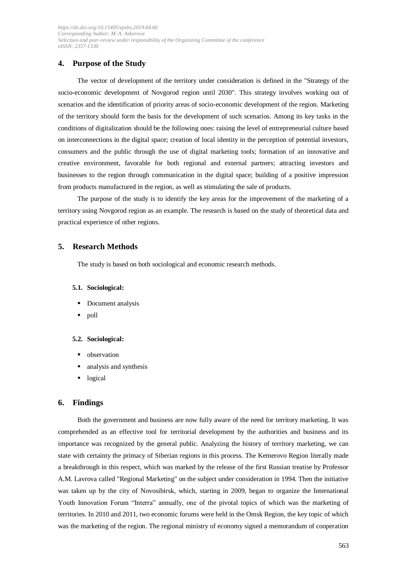# **4. Purpose of the Study**

The vector of development of the territory under consideration is defined in the "Strategy of the socio-economic development of Novgorod region until 2030". This strategy involves working out of scenarios and the identification of priority areas of socio-economic development of the region. Marketing of the territory should form the basis for the development of such scenarios. Among its key tasks in the conditions of digitalization should be the following ones: raising the level of entrepreneurial culture based on interconnections in the digital space; creation of local identity in the perception of potential investors, consumers and the public through the use of digital marketing tools; formation of an innovative and creative environment, favorable for both regional and external partners; attracting investors and businesses to the region through communication in the digital space; building of a positive impression from products manufactured in the region, as well as stimulating the sale of products.

The purpose of the study is to identify the key areas for the improvement of the marketing of a territory using Novgorod region as an example. The research is based on the study of theoretical data and practical experience of other regions.

### **5. Research Methods**

The study is based on both sociological and economic research methods.

#### **5.1. Sociological:**

- Document analysis
- poll

#### **5.2. Sociological:**

- **•** observation
- analysis and synthesis
- logical

#### **6. Findings**

Both the government and business are now fully aware of the need for territory marketing. It was comprehended as an effective tool for territorial development by the authorities and business and its importance was recognized by the general public. Analyzing the history of territory marketing, we can state with certainty the primacy of Siberian regions in this process. The Kemerovo Region literally made a breakthrough in this respect, which was marked by the release of the first Russian treatise by Professor A.M. Lavrova called "Regional Marketing" on the subject under consideration in 1994. Then the initiative was taken up by the city of Novosibirsk, which, starting in 2009, began to organize the International Youth Innovation Forum "Interra" annually, one of the pivotal topics of which was the marketing of territories. In 2010 and 2011, two economic forums were held in the Omsk Region, the key topic of which was the marketing of the region. The regional ministry of economy signed a memorandum of cooperation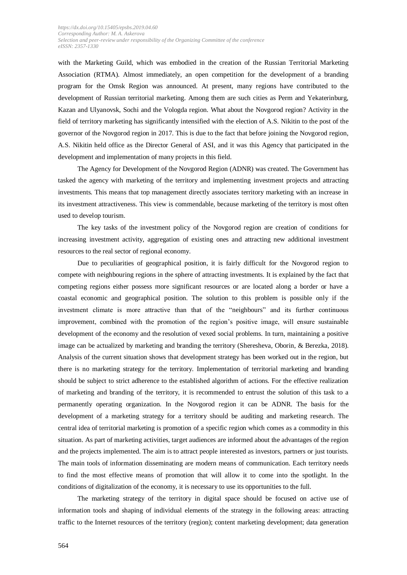with the Marketing Guild, which was embodied in the creation of the Russian Territorial Marketing Association (RTMA). Almost immediately, an open competition for the development of a branding program for the Omsk Region was announced. At present, many regions have contributed to the development of Russian territorial marketing. Among them are such cities as Perm and Yekaterinburg, Kazan and Ulyanovsk, Sochi and the Vologda region. What about the Novgorod region? Activity in the field of territory marketing has significantly intensified with the election of A.S. Nikitin to the post of the governor of the Novgorod region in 2017. This is due to the fact that before joining the Novgorod region, A.S. Nikitin held office as the Director General of ASI, and it was this Agency that participated in the development and implementation of many projects in this field.

The Agency for Development of the Novgorod Region (ADNR) was created. The Government has tasked the agency with marketing of the territory and implementing investment projects and attracting investments. This means that top management directly associates territory marketing with an increase in its investment attractiveness. This view is commendable, because marketing of the territory is most often used to develop tourism.

The key tasks of the investment policy of the Novgorod region are creation of conditions for increasing investment activity, aggregation of existing ones and attracting new additional investment resources to the real sector of regional economy.

Due to peculiarities of geographical position, it is fairly difficult for the Novgorod region to compete with neighbouring regions in the sphere of attracting investments. It is explained by the fact that competing regions either possess more significant resources or are located along a border or have a coastal economic and geographical position. The solution to this problem is possible only if the investment climate is more attractive than that of the "neighbours" and its further continuous improvement, combined with the promotion of the region's positive image, will ensure sustainable development of the economy and the resolution of vexed social problems. In turn, maintaining a positive image can be actualized by marketing and branding the territory (Sheresheva, Oborin, & Berezka, 2018). Analysis of the current situation shows that development strategy has been worked out in the region, but there is no marketing strategy for the territory. Implementation of territorial marketing and branding should be subject to strict adherence to the established algorithm of actions. For the effective realization of marketing and branding of the territory, it is recommended to entrust the solution of this task to a permanently operating organization. In the Novgorod region it can be ADNR. The basis for the development of a marketing strategy for a territory should be auditing and marketing research. The central idea of territorial marketing is promotion of a specific region which comes as a commodity in this situation. As part of marketing activities, target audiences are informed about the advantages of the region and the projects implemented. The aim is to attract people interested as investors, partners or just tourists. The main tools of information disseminating are modern means of communication. Each territory needs to find the most effective means of promotion that will allow it to come into the spotlight. In the conditions of digitalization of the economy, it is necessary to use its opportunities to the full.

The marketing strategy of the territory in digital space should be focused on active use of information tools and shaping of individual elements of the strategy in the following areas: attracting traffic to the Internet resources of the territory (region); content marketing development; data generation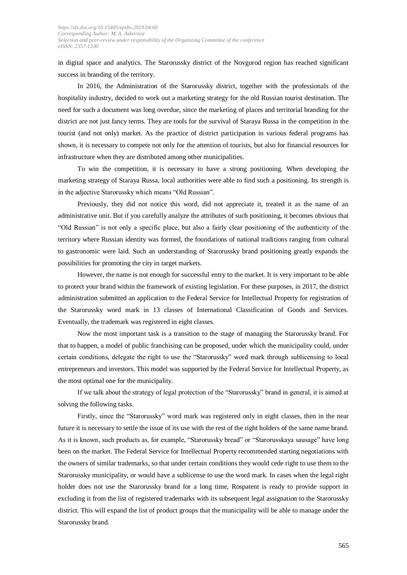in digital space and analytics. The Starorussky district of the Novgorod region has reached significant success in branding of the territory.

In 2016, the Administration of the Starorussky district, together with the professionals of the hospitality industry, decided to work out a marketing strategy for the old Russian tourist destination. The need for such a document was long overdue, since the marketing of places and territorial branding for the district are not just fancy terms. They are tools for the survival of Staraya Russa in the competition in the tourist (and not only) market. As the practice of district participation in various federal programs has shown, it is necessary to compete not only for the attention of tourists, but also for financial resources for infrastructure when they are distributed among other municipalities.

To win the competition, it is necessary to have a strong positioning. When developing the marketing strategy of Staraya Russa, local authorities were able to find such a positioning. Its strength is in the adjective Starorussky which means "Old Russian".

Previously, they did not notice this word, did not appreciate it, treated it as the name of an administrative unit. But if you carefully analyze the attributes of such positioning, it becomes obvious that "Old Russian" is not only a specific place, but also a fairly clear positioning of the authenticity of the territory where Russian identity was formed, the foundations of national traditions ranging from cultural to gastronomic were laid. Such an understanding of Starorussky brand positioning greatly expands the possibilities for promoting the city in target markets.

However, the name is not enough for successful entry to the market. It is very important to be able to protect your brand within the framework of existing legislation. For these purposes, in 2017, the district administration submitted an application to the Federal Service for Intellectual Property for registration of the Starorussky word mark in 13 classes of International Classification of Goods and Services. Eventually, the trademark was registered in eight classes.

Now the most important task is a transition to the stage of managing the Starorussky brand. For that to happen, a model of public franchising can be proposed, under which the municipality could, under certain conditions, delegate the right to use the "Starorussky" word mark through sublicensing to local entrepreneurs and investors. This model was supported by the Federal Service for Intellectual Property, as the most optimal one for the municipality.

If we talk about the strategy of legal protection of the "Starorussky" brand in general, it is aimed at solving the following tasks.

Firstly, since the "Starorussky" word mark was registered only in eight classes, then in the near future it is necessary to settle the issue of its use with the rest of the right holders of the same name brand. As it is known, such products as, for example, "Starorussky bread" or "Starorusskaya sausage" have long been on the market. The Federal Service for Intellectual Property recommended starting negotiations with the owners of similar trademarks, so that under certain conditions they would cede right to use them to the Starorussky municipality, or would have a sublicense to use the word mark. In cases when the legal right holder does not use the Starorussky brand for a long time, Rospatent is ready to provide support in excluding it from the list of registered trademarks with its subsequent legal assignation to the Starorussky district. This will expand the list of product groups that the municipality will be able to manage under the Starorussky brand.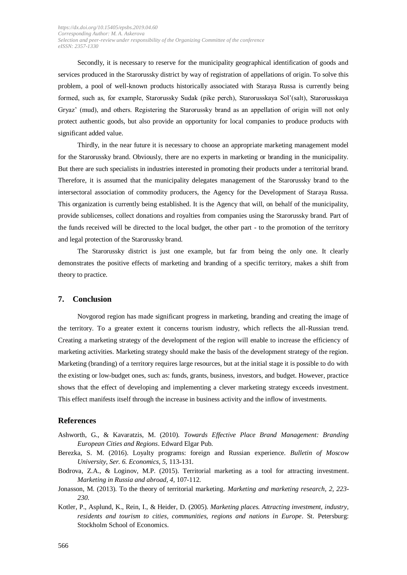Secondly, it is necessary to reserve for the municipality geographical identification of goods and services produced in the Starorussky district by way of registration of appellations of origin. To solve this problem, a pool of well-known products historically associated with Staraya Russa is currently being formed, such as, for example, Starorussky Sudak (pike perch), Starorusskaya Sol'(salt), Starorusskaya Gryaz' (mud), and others. Registering the Starorussky brand as an appellation of origin will not only protect authentic goods, but also provide an opportunity for local companies to produce products with significant added value.

Thirdly, in the near future it is necessary to choose an appropriate marketing management model for the Starorussky brand. Obviously, there are no experts in marketing or branding in the municipality. But there are such specialists in industries interested in promoting their products under a territorial brand. Therefore, it is assumed that the municipality delegates management of the Starorussky brand to the intersectoral association of commodity producers, the Agency for the Development of Staraya Russa. This organization is currently being established. It is the Agency that will, on behalf of the municipality, provide sublicenses, collect donations and royalties from companies using the Starorussky brand. Part of the funds received will be directed to the local budget, the other part - to the promotion of the territory and legal protection of the Starorussky brand.

The Starorussky district is just one example, but far from being the only one. It clearly demonstrates the positive effects of marketing and branding of a specific territory, makes a shift from theory to practice.

# **7. Conclusion**

Novgorod region has made significant progress in marketing, branding and creating the image of the territory. To a greater extent it concerns tourism industry, which reflects the all-Russian trend. Creating a marketing strategy of the development of the region will enable to increase the efficiency of marketing activities. Marketing strategy should make the basis of the development strategy of the region. Marketing (branding) of a territory requires large resources, but at the initial stage it is possible to do with the existing or low-budget ones, such as: funds, grants, business, investors, and budget. However, practice shows that the effect of developing and implementing a clever marketing strategy exceeds investment. This effect manifests itself through the increase in business activity and the inflow of investments.

#### **References**

- Ashworth, G., & Kavaratzis, M. (2010). *Towards Effective Place Brand Management: Branding European Cities and Regions*. Edward Elgar Pub.
- Berezka, S. M. (2016). Loyalty programs: foreign and Russian experience. *Bulletin of Moscow University*, *Ser. 6. Economics, 5,* 113-131.
- Bodrova, Z.A., & Loginov, M.P. (2015). Territorial marketing as a tool for attracting investment. *Marketing in Russia and abroad, 4,* 107-112.
- Jonasson, M. (2013). To the theory of territorial marketing. *Marketing and marketing research*, *2, 223- 230.*
- Kotler, P., Asplund, K., Rein, I., & Heider, D. (2005). *Marketing places. Attracting investment, industry, residents and tourism to cities, communities, regions and nations in Europe*. St. Petersburg: Stockholm School of Economics.